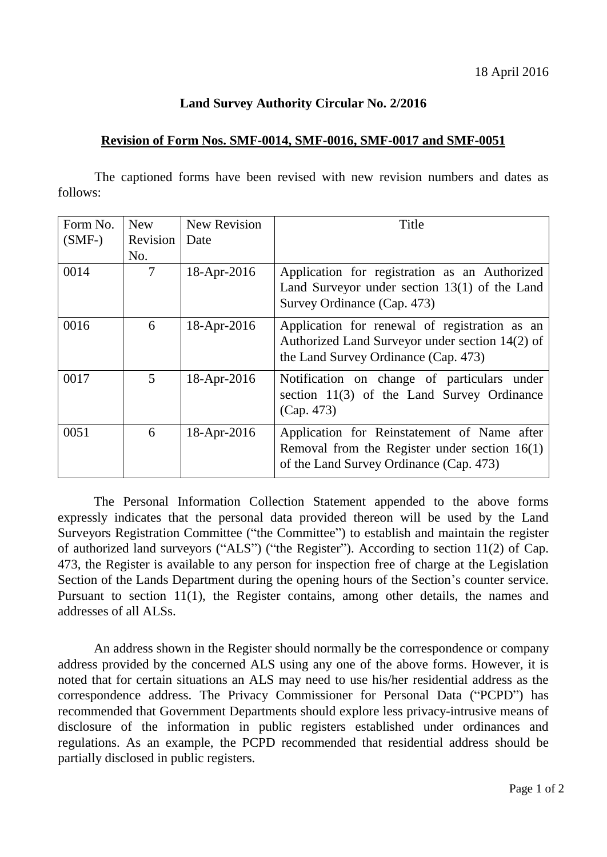## **Land Survey Authority Circular No. 2/2016**

## **Revision of Form Nos. SMF-0014, SMF-0016, SMF-0017 and SMF-0051**

 The captioned forms have been revised with new revision numbers and dates as follows:

| Form No.<br>$(SMF-)$ | <b>New</b><br>Revision  <br>No. | <b>New Revision</b><br>Date | Title                                                                                                                                     |
|----------------------|---------------------------------|-----------------------------|-------------------------------------------------------------------------------------------------------------------------------------------|
| 0014                 | 7                               | 18-Apr-2016                 | Application for registration as an Authorized<br>Land Surveyor under section $13(1)$ of the Land<br>Survey Ordinance (Cap. 473)           |
| 0016                 | 6                               | 18-Apr-2016                 | Application for renewal of registration as an<br>Authorized Land Surveyor under section 14(2) of<br>the Land Survey Ordinance (Cap. 473)  |
| 0017                 | 5                               | $18-Apr-2016$               | Notification on change of particulars under<br>section 11(3) of the Land Survey Ordinance<br>(Cap. 473)                                   |
| 0051                 | 6                               | 18-Apr-2016                 | Application for Reinstatement of Name after<br>Removal from the Register under section $16(1)$<br>of the Land Survey Ordinance (Cap. 473) |

 The Personal Information Collection Statement appended to the above forms expressly indicates that the personal data provided thereon will be used by the Land Surveyors Registration Committee ("the Committee") to establish and maintain the register of authorized land surveyors ("ALS") ("the Register"). According to section 11(2) of Cap. 473, the Register is available to any person for inspection free of charge at the Legislation Section of the Lands Department during the opening hours of the Section's counter service. Pursuant to section 11(1), the Register contains, among other details, the names and addresses of all ALSs.

An address shown in the Register should normally be the correspondence or company address provided by the concerned ALS using any one of the above forms. However, it is noted that for certain situations an ALS may need to use his/her residential address as the correspondence address. The Privacy Commissioner for Personal Data ("PCPD") has recommended that Government Departments should explore less privacy-intrusive means of disclosure of the information in public registers established under ordinances and regulations. As an example, the PCPD recommended that residential address should be partially disclosed in public registers.